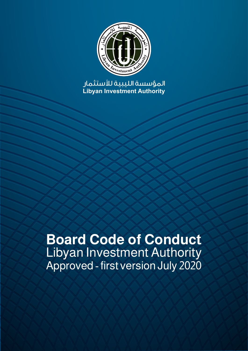

**Libyan Investment Authority** المؤسسة الليبية لستثمار

# **Board Code of Conduct** Libyan Investment Authority Approved - first version July 2020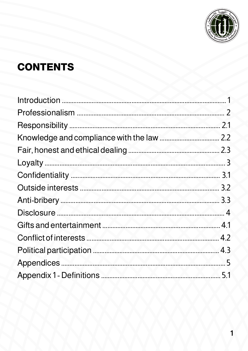

# **CONTENTS**

|                                                      | 2.1 |
|------------------------------------------------------|-----|
|                                                      |     |
|                                                      |     |
|                                                      |     |
|                                                      |     |
| 3.2<br>Outside interests                             |     |
|                                                      |     |
| <u> 14   Karl Amerikaan (h. 1508)</u><br>Disclosure. |     |
| 4.1<br><b>Gifts and entertainment</b>                |     |
|                                                      |     |
|                                                      |     |
|                                                      |     |
|                                                      |     |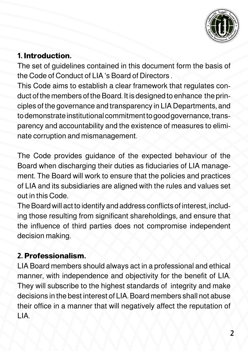

# **1. Introduction.**

The set of guidelines contained in this document form the basis of the Code of Conduct of LIA 's Board of Directors .

This Code aims to establish a clear framework that regulates conduct of the members of the Board. It is designed to enhance the principles of the governance and transparency in LIA Departments, and to demonstrate institutional commitment to good governance, transparency and accountability and the existence of measures to eliminate corruption and mismanagement.

The Code provides guidance of the expected behaviour of the Board when discharging their duties as fiduciaries of LIA management. The Board will work to ensure that the policies and practices of LIA and its subsidiaries are aligned with the rules and values set out in this Code.

The Board will act to identify and address conflicts of interest, including those resulting from significant shareholdings, and ensure that the influence of third parties does not compromise independent decision making.

# **2. Professionalism.**

LIA Board members should always act in a professional and ethical manner, with independence and objectivity for the benefit of LIA. They will subscribe to the highest standards of integrity and make decisions in the best interest of LIA. Board members shall not abuse their office in a manner that will negatively affect the reputation of LIA.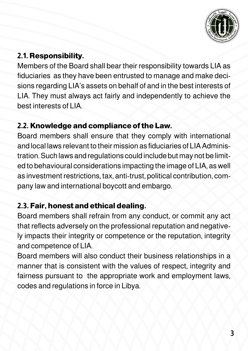

# **2.1. Responsibility.**

Members of the Board shall bear their responsibility towards LIA as fiduciaries as they have been entrusted to manage and make decisions regarding LIA's assets on behalf of and in the best interests of LIA. They must always act fairly and independently to achieve the best interests of LIA.

#### **2.2. Knowledge and compliance of the Law.**

Board members shall ensure that they comply with international and local laws relevant to their mission as fiduciaries of LIA Administration. Such laws and regulations could include but may not be limited to behavioural considerations impacting the image of LIA, as well as investment restrictions, tax, anti-trust, political contribution, company law and international boycott and embargo.

# **2.3. Fair, honest and ethical dealing.**

Board members shall refrain from any conduct, or commit any act that reflects adversely on the professional reputation and negatively impacts their integrity or competence or the reputation, integrity and competence of LIA.

Board members will also conduct their business relationships in a manner that is consistent with the values of respect, integrity and fairness pursuant to the appropriate work and employment laws, codes and regulations in force in Libya.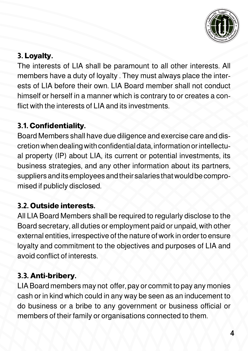

# **3. Loyalty.**

The interests of LIA shall be paramount to all other interests. All members have a duty of loyalty . They must always place the interests of LIA before their own. LIA Board member shall not conduct himself or herself in a manner which is contrary to or creates a conflict with the interests of LIA and its investments.

#### **3.1. Confidentiality.**

Board Members shall have due diligence and exercise care and discretion when dealing with confidential data, information or intellectual property (IP) about LIA, its current or potential investments, its business strategies, and any other information about its partners, suppliers and its employees and their salaries that would be compromised if publicly disclosed.

# **3.2. Outside interests.**

All LIA Board Members shall be required to regularly disclose to the Board secretary, all duties or employment paid or unpaid, with other external entities, irrespective of the nature of work in order to ensure loyalty and commitment to the objectives and purposes of LIA and avoid conflict of interests.

# **3.3. Anti-bribery.**

LIA Board members may not offer, pay or commit to pay any monies cash or in kind which could in any way be seen as an inducement to do business or a bribe to any government or business official or members of their family or organisations connected to them.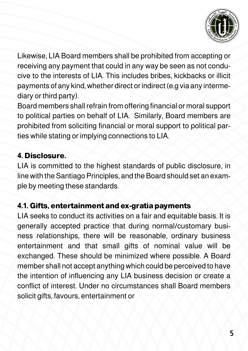

Likewise, LIA Board members shall be prohibited from accepting or receiving any payment that could in any way be seen as not conducive to the interests of LIA. This includes bribes, kickbacks or illicit payments of any kind, whether direct or indirect (e.g via any intermediary or third party).

Board members shall refrain from offering financial or moral support to political parties on behalf of LIA. Similarly, Board members are prohibited from soliciting financial or moral support to political parties while stating or implying connections to LIA.

#### **4. Disclosure.**

LIA is committed to the highest standards of public disclosure, in line with the Santiago Principles, and the Board should set an example by meeting these standards.

#### **4.1. Gifts, entertainment and ex-gratia payments**

LIA seeks to conduct its activities on a fair and equitable basis. It is generally accepted practice that during normal/customary business relationships, there will be reasonable, ordinary business entertainment and that small gifts of nominal value will be exchanged. These should be minimized where possible. A Board member shall not accept anything which could be perceived to have the intention of influencing any LIA business decision or create a conflict of interest. Under no circumstances shall Board members solicit gifts, favours, entertainment or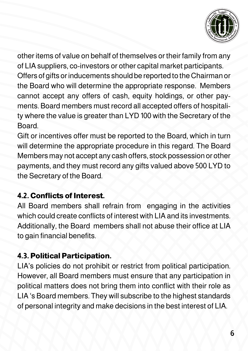

other items of value on behalf of themselves or their family from any of LIA suppliers, co-investors or other capital market participants. Offers of gifts or inducements should be reported to the Chairman or the Board who will determine the appropriate response. Members cannot accept any offers of cash, equity holdings, or other payments. Board members must record all accepted offers of hospitality where the value is greater than LYD 100 with the Secretary of the **Board** 

Gift or incentives offer must be reported to the Board, which in turn will determine the appropriate procedure in this regard. The Board Members may not accept any cash offers, stock possession or other payments, and they must record any gifts valued above 500 LYD to the Secretary of the Board.

### **4.2. Conflicts of Interest.**

All Board members shall refrain from engaging in the activities which could create conflicts of interest with LIA and its investments. Additionally, the Board members shall not abuse their office at LIA to gain financial benefits.

### **4.3. Political Participation.**

LIA's policies do not prohibit or restrict from political participation. However, all Board members must ensure that any participation in political matters does not bring them into conflict with their role as LIA 's Board members. They will subscribe to the highest standards of personal integrity and make decisions in the best interest of LIA.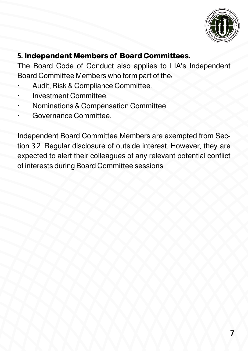

### **5. Independent Members of Board Committees.**

The Board Code of Conduct also applies to LIA's Independent Board Committee Members who form part of the:

- Audit, Risk & Compliance Committee.
- · Investment Committee.
- · Nominations & Compensation Committee.
- Governance Committee.

Independent Board Committee Members are exempted from Section 3.2. Regular disclosure of outside interest. However, they are expected to alert their colleagues of any relevant potential conflict of interests during Board Committee sessions.